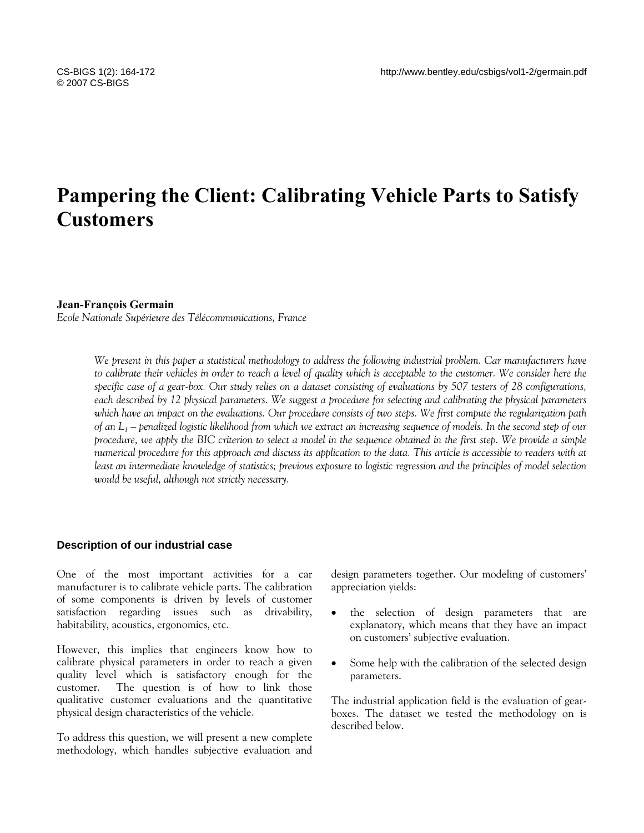# **Pampering the Client: Calibrating Vehicle Parts to Satisfy Customers**

#### **Jean-François Germain**

*Ecole Nationale Supérieure des Télécommunications, France* 

*We present in this paper a statistical methodology to address the following industrial problem. Car manufacturers have to calibrate their vehicles in order to reach a level of quality which is acceptable to the customer. We consider here the specific case of a gear-box. Our study relies on a dataset consisting of evaluations by 507 testers of 28 configurations, each described by 12 physical parameters. We suggest a procedure for selecting and calibrating the physical parameters which have an impact on the evaluations. Our procedure consists of two steps. We first compute the regularization path of an L1 – penalized logistic likelihood from which we extract an increasing sequence of models. In the second step of our procedure, we apply the BIC criterion to select a model in the sequence obtained in the first step. We provide a simple numerical procedure for this approach and discuss its application to the data. This article is accessible to readers with at least an intermediate knowledge of statistics; previous exposure to logistic regression and the principles of model selection would be useful, although not strictly necessary.* 

## **Description of our industrial case**

One of the most important activities for a car manufacturer is to calibrate vehicle parts. The calibration of some components is driven by levels of customer satisfaction regarding issues such as drivability, habitability, acoustics, ergonomics, etc.

However, this implies that engineers know how to calibrate physical parameters in order to reach a given quality level which is satisfactory enough for the customer. The question is of how to link those qualitative customer evaluations and the quantitative physical design characteristics of the vehicle.

To address this question, we will present a new complete methodology, which handles subjective evaluation and design parameters together. Our modeling of customers' appreciation yields:

- the selection of design parameters that are explanatory, which means that they have an impact on customers' subjective evaluation.
- Some help with the calibration of the selected design parameters.

The industrial application field is the evaluation of gearboxes. The dataset we tested the methodology on is described below.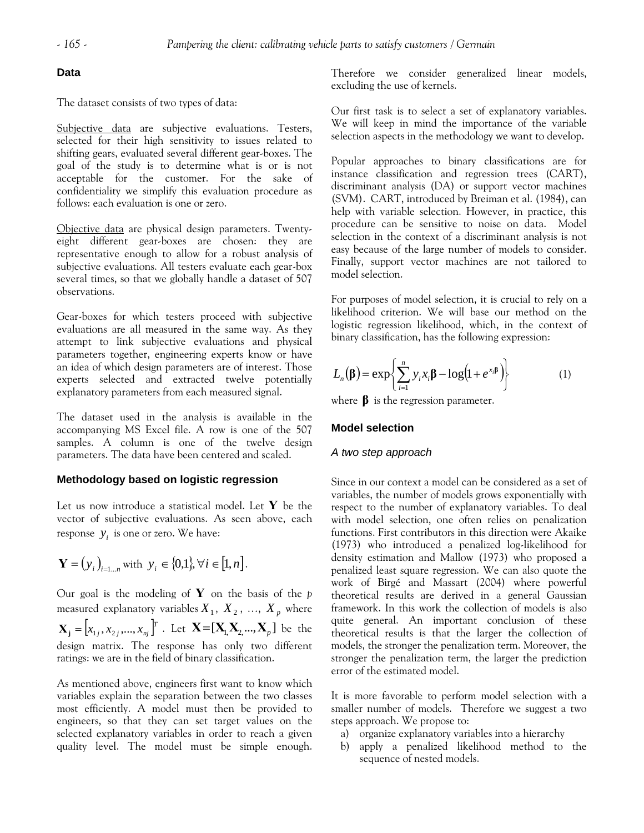## **Data**

The dataset consists of two types of data:

Subjective data are subjective evaluations. Testers, selected for their high sensitivity to issues related to shifting gears, evaluated several different gear-boxes. The goal of the study is to determine what is or is not acceptable for the customer. For the sake of confidentiality we simplify this evaluation procedure as follows: each evaluation is one or zero.

Objective data are physical design parameters. Twentyeight different gear-boxes are chosen: they are representative enough to allow for a robust analysis of subjective evaluations. All testers evaluate each gear-box several times, so that we globally handle a dataset of 507 observations.

Gear-boxes for which testers proceed with subjective evaluations are all measured in the same way. As they attempt to link subjective evaluations and physical parameters together, engineering experts know or have an idea of which design parameters are of interest. Those experts selected and extracted twelve potentially explanatory parameters from each measured signal.

The dataset used in the analysis is available in the accompanying MS Excel file. A row is one of the 507 samples. A column is one of the twelve design parameters. The data have been centered and scaled.

## **Methodology based on logistic regression**

Let us now introduce a statistical model. Let **Y** be the vector of subjective evaluations. As seen above, each response  $y_i$  is one or zero. We have:

$$
\mathbf{Y} = (y_i)_{i=1...n}
$$
 with  $y_i \in \{0,1\}, \forall i \in [1, n].$ 

Our goal is the modeling of **Y** on the basis of the *p* measured explanatory variables  $X_1, X_2, ..., X_p$  where  $X_i = [x_{1i}, x_{2i},...,x_{ni}]^T$ . Let  $X = [X_i, X_2,...,X_n]$  be the design matrix. The response has only two different ratings: we are in the field of binary classification.

As mentioned above, engineers first want to know which variables explain the separation between the two classes most efficiently. A model must then be provided to engineers, so that they can set target values on the selected explanatory variables in order to reach a given quality level. The model must be simple enough. Therefore we consider generalized linear models, excluding the use of kernels.

Our first task is to select a set of explanatory variables. We will keep in mind the importance of the variable selection aspects in the methodology we want to develop.

Popular approaches to binary classifications are for instance classification and regression trees (CART), discriminant analysis (DA) or support vector machines (SVM). CART, introduced by Breiman et al. (1984), can help with variable selection. However, in practice, this procedure can be sensitive to noise on data. Model selection in the context of a discriminant analysis is not easy because of the large number of models to consider. Finally, support vector machines are not tailored to model selection.

For purposes of model selection, it is crucial to rely on a likelihood criterion. We will base our method on the logistic regression likelihood, which, in the context of binary classification, has the following expression:

$$
L_n(\beta) = \exp\left\{\sum_{i=1}^n y_i x_i \beta - \log(1 + e^{x_i \beta})\right\}
$$
 (1)

where **β** is the regression parameter.

## **Model selection**

#### *A two step approach*

Since in our context a model can be considered as a set of variables, the number of models grows exponentially with respect to the number of explanatory variables. To deal with model selection, one often relies on penalization functions. First contributors in this direction were Akaike (1973) who introduced a penalized log-likelihood for density estimation and Mallow (1973) who proposed a penalized least square regression. We can also quote the work of Birgé and Massart (2004) where powerful theoretical results are derived in a general Gaussian framework. In this work the collection of models is also quite general. An important conclusion of these theoretical results is that the larger the collection of models, the stronger the penalization term. Moreover, the stronger the penalization term, the larger the prediction error of the estimated model.

It is more favorable to perform model selection with a smaller number of models. Therefore we suggest a two steps approach. We propose to:

- a) organize explanatory variables into a hierarchy
- b) apply a penalized likelihood method to the sequence of nested models.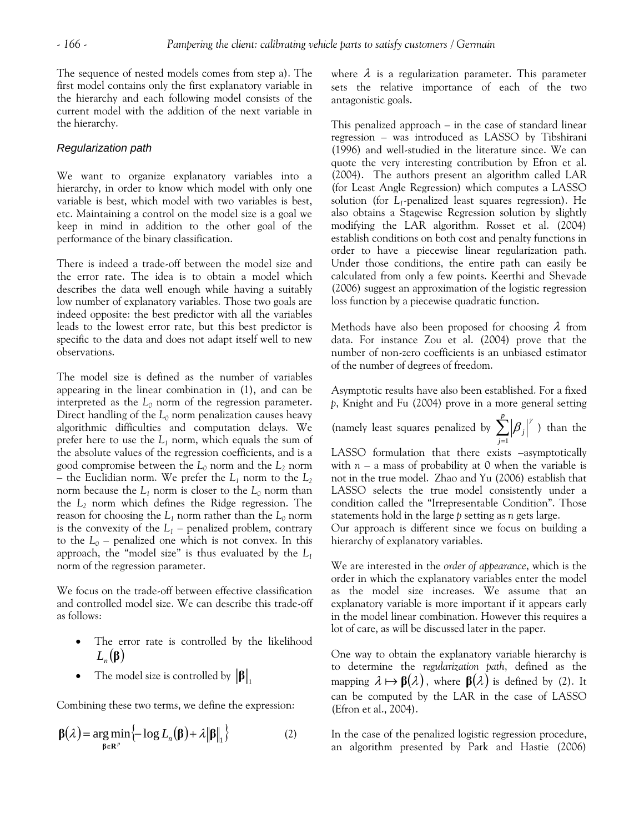The sequence of nested models comes from step a). The first model contains only the first explanatory variable in the hierarchy and each following model consists of the current model with the addition of the next variable in the hierarchy.

## *Regularization path*

We want to organize explanatory variables into a hierarchy, in order to know which model with only one variable is best, which model with two variables is best, etc. Maintaining a control on the model size is a goal we keep in mind in addition to the other goal of the performance of the binary classification.

There is indeed a trade-off between the model size and the error rate. The idea is to obtain a model which describes the data well enough while having a suitably low number of explanatory variables. Those two goals are indeed opposite: the best predictor with all the variables leads to the lowest error rate, but this best predictor is specific to the data and does not adapt itself well to new observations.

The model size is defined as the number of variables appearing in the linear combination in (1), and can be interpreted as the  $L_0$  norm of the regression parameter. Direct handling of the *L0* norm penalization causes heavy algorithmic difficulties and computation delays. We prefer here to use the  $L_1$  norm, which equals the sum of the absolute values of the regression coefficients, and is a good compromise between the  $L_0$  norm and the  $L_2$  norm – the Euclidian norm. We prefer the  $L_1$  norm to the  $L_2$ norm because the  $L_1$  norm is closer to the  $L_0$  norm than the *L2* norm which defines the Ridge regression. The reason for choosing the  $L_1$  norm rather than the  $L_0$  norm is the convexity of the  $L_1$  – penalized problem, contrary to the  $L_0$  – penalized one which is not convex. In this approach, the "model size" is thus evaluated by the *L1* norm of the regression parameter.

We focus on the trade-off between effective classification and controlled model size. We can describe this trade-off as follows:

- The error rate is controlled by the likelihood  $L_n(\beta)$
- The model size is controlled by  $\|\boldsymbol{\beta}\|$ ,

Combining these two terms, we define the expression:

$$
\beta(\lambda) = \underset{\beta \in \mathbb{R}^p}{\arg \min} \left\{-\log L_n(\beta) + \lambda \|\beta\|_1\right\} \tag{2}
$$

where  $\lambda$  is a regularization parameter. This parameter sets the relative importance of each of the two antagonistic goals.

This penalized approach – in the case of standard linear regression – was introduced as LASSO by Tibshirani (1996) and well-studied in the literature since. We can quote the very interesting contribution by Efron et al. (2004). The authors present an algorithm called LAR (for Least Angle Regression) which computes a LASSO solution (for *L*<sub>1</sub>-penalized least squares regression). He also obtains a Stagewise Regression solution by slightly modifying the LAR algorithm. Rosset et al. (2004) establish conditions on both cost and penalty functions in order to have a piecewise linear regularization path. Under those conditions, the entire path can easily be calculated from only a few points. Keerthi and Shevade (2006) suggest an approximation of the logistic regression loss function by a piecewise quadratic function.

Methods have also been proposed for choosing  $\lambda$  from data. For instance Zou et al. (2004) prove that the number of non-zero coefficients is an unbiased estimator of the number of degrees of freedom.

Asymptotic results have also been established. For a fixed *p*, Knight and Fu (2004) prove in a more general setting

(namely least squares penalized by  $\sum_{j=1}^{p}$ *j j* 1  $\beta_i^{\;\;\gamma}$ ) than the

LASSO formulation that there exists –asymptotically with  $n - a$  mass of probability at 0 when the variable is not in the true model. Zhao and Yu (2006) establish that LASSO selects the true model consistently under a condition called the "Irrepresentable Condition". Those statements hold in the large *p* setting as *n* gets large.

Our approach is different since we focus on building a hierarchy of explanatory variables.

We are interested in the *order of appearance*, which is the order in which the explanatory variables enter the model as the model size increases. We assume that an explanatory variable is more important if it appears early in the model linear combination. However this requires a lot of care, as will be discussed later in the paper.

One way to obtain the explanatory variable hierarchy is to determine the *regularization path*, defined as the mapping  $\lambda \mapsto \beta(\lambda)$ , where  $\beta(\lambda)$  is defined by (2). It can be computed by the LAR in the case of LASSO (Efron et al., 2004).

In the case of the penalized logistic regression procedure, an algorithm presented by Park and Hastie (2006)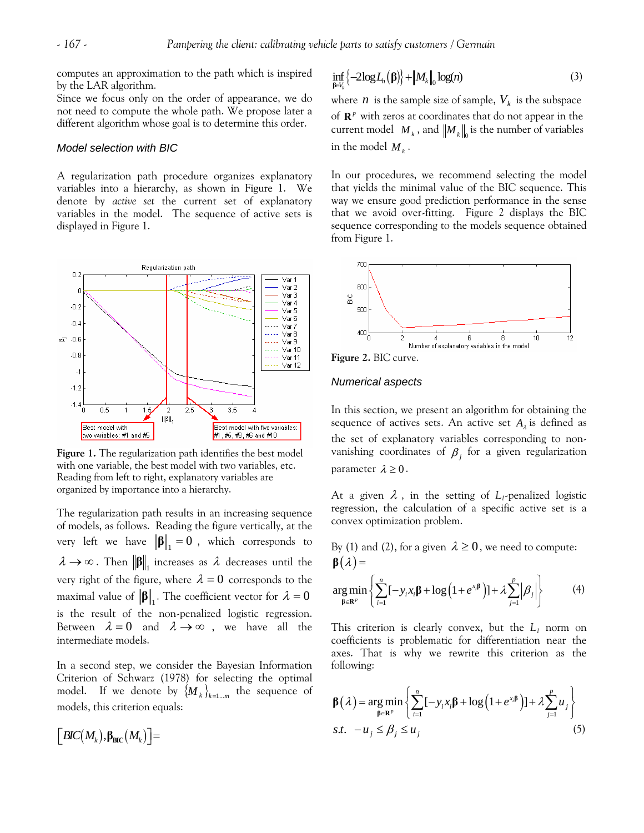computes an approximation to the path which is inspired by the LAR algorithm.

Since we focus only on the order of appearance, we do not need to compute the whole path. We propose later a different algorithm whose goal is to determine this order.

## *Model selection with BIC*

A regularization path procedure organizes explanatory variables into a hierarchy, as shown in Figure 1. We denote by *active set* the current set of explanatory variables in the model. The sequence of active sets is displayed in Figure 1.



**Figure 1.** The regularization path identifies the best model with one variable, the best model with two variables, etc. Reading from left to right, explanatory variables are organized by importance into a hierarchy.

The regularization path results in an increasing sequence of models, as follows. Reading the figure vertically, at the very left we have  $\|\boldsymbol{\beta}\|_{1} = 0$ , which corresponds to  $\lambda \rightarrow \infty$ . Then  $\|\boldsymbol{\beta}\|_{1}$  increases as  $\lambda$  decreases until the very right of the figure, where  $\lambda = 0$  corresponds to the maximal value of  $\|\boldsymbol{\beta}\|_{1}$ . The coefficient vector for  $\lambda = 0$ is the result of the non-penalized logistic regression. Between  $\lambda = 0$  and  $\lambda \rightarrow \infty$ , we have all the intermediate models.

In a second step, we consider the Bayesian Information Criterion of Schwarz (1978) for selecting the optimal model. If we denote by  ${M_k}_{k=1...m}$  the sequence of models, this criterion equals:

$$
\left[\textit{BIC}\big(M_{\rm k}\big), \beta_{\rm BIC}\big(M_{\rm k}\big)\right] =
$$

$$
\inf_{\beta \in V_k} \left\{-2\log L_n(\beta)\right\} + \left\|M_k\right\|_0 \log(n) \tag{3}
$$

where  $n$  is the sample size of sample,  $V_k$  is the subspace of  $\mathbb{R}^p$  with zeros at coordinates that do not appear in the current model  $\|M_k\|$  and  $\|M_k\|_0$  is the number of variables in the model  $M_k$ .

In our procedures, we recommend selecting the model that yields the minimal value of the BIC sequence. This way we ensure good prediction performance in the sense that we avoid over-fitting. Figure 2 displays the BIC sequence corresponding to the models sequence obtained from Figure 1.



**Figure 2.** BIC curve.

#### *Numerical aspects*

In this section, we present an algorithm for obtaining the sequence of actives sets. An active set  $A_{\lambda}$  is defined as the set of explanatory variables corresponding to nonvanishing coordinates of  $\beta_j$  for a given regularization parameter  $\lambda \geq 0$ .

At a given  $\lambda$ , in the setting of  $L_1$ -penalized logistic regression, the calculation of a specific active set is a convex optimization problem.

By (1) and (2), for a given 
$$
\lambda \ge 0
$$
, we need to compute:  
\n
$$
\beta(\lambda) = \underset{\beta \in \mathbb{R}^p}{\arg \min} \left\{ \sum_{i=1}^n [-y_i x_i \beta + \log(1 + e^{x_i \beta})] + \lambda \sum_{j=1}^p |\beta_j| \right\}
$$
\n(4)

This criterion is clearly convex, but the  $L_1$  norm on coefficients is problematic for differentiation near the axes. That is why we rewrite this criterion as the following:

$$
\beta(\lambda) = \underset{\beta \in \mathbb{R}^p}{\arg \min} \left\{ \sum_{i=1}^n [-y_i x_i \beta + \log (1 + e^{x_i \beta})] + \lambda \sum_{j=1}^p u_j \right\}
$$
  
s.t.  $-u_j \le \beta_j \le u_j$  (5)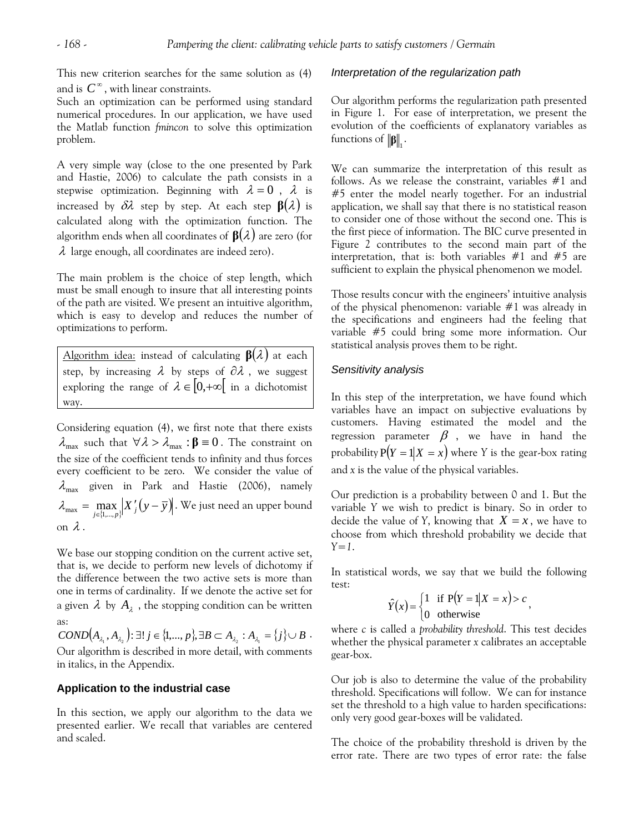This new criterion searches for the same solution as (4) and is  $C^{\infty}$ , with linear constraints.

Such an optimization can be performed using standard numerical procedures. In our application, we have used the Matlab function *fmincon* to solve this optimization problem.

A very simple way (close to the one presented by Park and Hastie, 2006) to calculate the path consists in a stepwise optimization. Beginning with  $\lambda = 0$ ,  $\lambda$  is increased by  $\delta \lambda$  step by step. At each step  $\beta(\lambda)$  is calculated along with the optimization function. The algorithm ends when all coordinates of  $\beta(\lambda)$  are zero (for  $\lambda$  large enough, all coordinates are indeed zero).

The main problem is the choice of step length, which must be small enough to insure that all interesting points of the path are visited. We present an intuitive algorithm, which is easy to develop and reduces the number of optimizations to perform.

Algorithm idea: instead of calculating  $\mathbf{B}(\lambda)$  at each step, by increasing  $\lambda$  by steps of  $\partial \lambda$ , we suggest exploring the range of  $\lambda \in [0, +\infty[$  in a dichotomist way.

Considering equation (4), we first note that there exists  $\lambda_{\text{max}}$  such that  $\forall \lambda > \lambda_{\text{max}} : \beta = 0$ . The constraint on the size of the coefficient tends to infinity and thus forces every coefficient to be zero. We consider the value of  $\lambda_{\text{max}}$  given in Park and Hastie (2006), namely  $\lambda_{\max} = \max_{j \in \{1, \dots, p\}} \bigl| X'_{j} \bigl( y - \overline{y} \bigr) \bigr|$  . We just need an upper bound on  $\lambda$ .

We base our stopping condition on the current active set, that is, we decide to perform new levels of dichotomy if the difference between the two active sets is more than one in terms of cardinality. If we denote the active set for a given  $\lambda$  by  $A_\lambda$  , the stopping condition can be written as:

 $COND(A_{\lambda_1}, A_{\lambda_2})$ : ∃!  $j \in \{1, ..., p\}$ , ∃ $B \subset A_{\lambda_2}$  :  $A_{\lambda_1} = \{j\} \cup B$ . Our algorithm is described in more detail, with comments in italics, in the Appendix.

## **Application to the industrial case**

In this section, we apply our algorithm to the data we presented earlier. We recall that variables are centered and scaled.

## *Interpretation of the regularization path*

Our algorithm performs the regularization path presented in Figure 1. For ease of interpretation, we present the evolution of the coefficients of explanatory variables as functions of  $\|\boldsymbol{\beta}\|$ .

We can summarize the interpretation of this result as follows. As we release the constraint, variables #1 and #5 enter the model nearly together. For an industrial application, we shall say that there is no statistical reason to consider one of those without the second one. This is the first piece of information. The BIC curve presented in Figure 2 contributes to the second main part of the interpretation, that is: both variables  $#1$  and  $#5$  are sufficient to explain the physical phenomenon we model.

Those results concur with the engineers' intuitive analysis of the physical phenomenon: variable #1 was already in the specifications and engineers had the feeling that variable #5 could bring some more information. Our statistical analysis proves them to be right.

# *Sensitivity analysis*

In this step of the interpretation, we have found which variables have an impact on subjective evaluations by customers. Having estimated the model and the regression parameter  $\beta$ , we have in hand the probability  $P(Y = 1 | X = x)$  where *Y* is the gear-box rating and *x* is the value of the physical variables.

Our prediction is a probability between 0 and 1. But the variable *Y* we wish to predict is binary. So in order to decide the value of *Y*, knowing that  $X = x$ , we have to choose from which threshold probability we decide that *Y=1*.

In statistical words, we say that we build the following test:

$$
\hat{Y}(x) = \begin{cases} 1 & \text{if } P(Y = 1|X = x) > c \\ 0 & \text{otherwise} \end{cases}
$$

where *c* is called a *probability threshold*. This test decides whether the physical parameter *x* calibrates an acceptable gear-box.

Our job is also to determine the value of the probability threshold. Specifications will follow. We can for instance set the threshold to a high value to harden specifications: only very good gear-boxes will be validated.

The choice of the probability threshold is driven by the error rate. There are two types of error rate: the false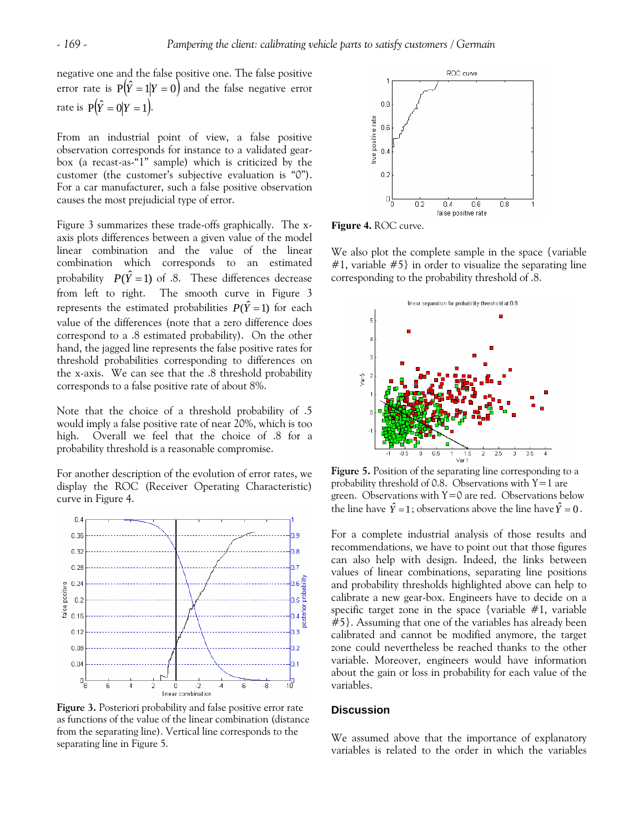negative one and the false positive one. The false positive error rate is  $P(\hat{Y} = 1 | Y = 0)$  and the false negative error rate is  $P(\hat{Y} = 0 | Y = 1)$ .

From an industrial point of view, a false positive observation corresponds for instance to a validated gearbox (a recast-as-"1" sample) which is criticized by the customer (the customer's subjective evaluation is "0"). For a car manufacturer, such a false positive observation causes the most prejudicial type of error.

Figure 3 summarizes these trade-offs graphically. The xaxis plots differences between a given value of the model linear combination and the value of the linear combination which corresponds to an estimated probability  $P(\hat{Y} = 1)$  of .8. These differences decrease from left to right. The smooth curve in Figure 3 represents the estimated probabilities  $P(\hat{Y} = 1)$  for each value of the differences (note that a zero difference does correspond to a .8 estimated probability). On the other hand, the jagged line represents the false positive rates for threshold probabilities corresponding to differences on the x-axis. We can see that the .8 threshold probability corresponds to a false positive rate of about 8%.

Note that the choice of a threshold probability of .5 would imply a false positive rate of near 20%, which is too high. Overall we feel that the choice of .8 for a probability threshold is a reasonable compromise.

For another description of the evolution of error rates, we display the ROC (Receiver Operating Characteristic) curve in Figure 4.



**Figure 3.** Posteriori probability and false positive error rate as functions of the value of the linear combination (distance from the separating line). Vertical line corresponds to the separating line in Figure 5.



**Figure 4.** ROC curve.

We also plot the complete sample in the space {variable}  $#1$ , variable  $#5$ } in order to visualize the separating line corresponding to the probability threshold of .8.



**Figure 5.** Position of the separating line corresponding to a probability threshold of 0.8. Observations with  $Y=1$  are green. Observations with  $Y=0$  are red. Observations below the line have  $\hat{Y} = 1$ ; observations above the line have  $\hat{Y} = 0$ .

For a complete industrial analysis of those results and recommendations, we have to point out that those figures can also help with design. Indeed, the links between values of linear combinations, separating line positions and probability thresholds highlighted above can help to calibrate a new gear-box. Engineers have to decide on a specific target zone in the space {variable  $#1$ , variable #5}. Assuming that one of the variables has already been calibrated and cannot be modified anymore, the target zone could nevertheless be reached thanks to the other variable. Moreover, engineers would have information about the gain or loss in probability for each value of the variables.

## **Discussion**

We assumed above that the importance of explanatory variables is related to the order in which the variables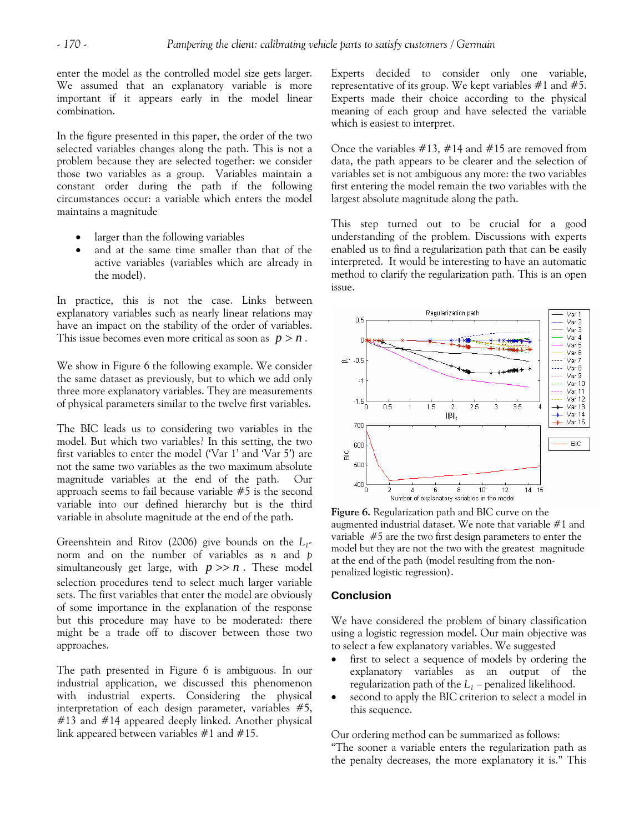enter the model as the controlled model size gets larger. We assumed that an explanatory variable is more important if it appears early in the model linear combination.

In the figure presented in this paper, the order of the two selected variables changes along the path. This is not a problem because they are selected together: we consider those two variables as a group. Variables maintain a constant order during the path if the following circumstances occur: a variable which enters the model maintains a magnitude

- larger than the following variables
- and at the same time smaller than that of the active variables (variables which are already in the model).

In practice, this is not the case. Links between explanatory variables such as nearly linear relations may have an impact on the stability of the order of variables. This issue becomes even more critical as soon as  $p > n$ .

We show in Figure 6 the following example. We consider the same dataset as previously, but to which we add only three more explanatory variables. They are measurements of physical parameters similar to the twelve first variables.

The BIC leads us to considering two variables in the model. But which two variables? In this setting, the two first variables to enter the model ('Var 1' and 'Var 5') are not the same two variables as the two maximum absolute magnitude variables at the end of the path. Our approach seems to fail because variable #5 is the second variable into our defined hierarchy but is the third variable in absolute magnitude at the end of the path.

Greenshtein and Ritov (2006) give bounds on the *L1* norm and on the number of variables as *n* and *p* simultaneously get large, with  $p \gg n$ . These model selection procedures tend to select much larger variable sets. The first variables that enter the model are obviously of some importance in the explanation of the response but this procedure may have to be moderated: there might be a trade off to discover between those two approaches.

The path presented in Figure 6 is ambiguous. In our industrial application, we discussed this phenomenon with industrial experts. Considering the physical interpretation of each design parameter, variables #5, #13 and #14 appeared deeply linked. Another physical link appeared between variables #1 and #15.

Experts decided to consider only one variable, representative of its group. We kept variables  $\#1$  and  $\#5$ . Experts made their choice according to the physical meaning of each group and have selected the variable which is easiest to interpret.

Once the variables  $\#13$ ,  $\#14$  and  $\#15$  are removed from data, the path appears to be clearer and the selection of variables set is not ambiguous any more: the two variables first entering the model remain the two variables with the largest absolute magnitude along the path.

This step turned out to be crucial for a good understanding of the problem. Discussions with experts enabled us to find a regularization path that can be easily interpreted. It would be interesting to have an automatic method to clarify the regularization path. This is an open issue.



**Figure 6.** Regularization path and BIC curve on the augmented industrial dataset. We note that variable #1 and variable #5 are the two first design parameters to enter the model but they are not the two with the greatest magnitude at the end of the path (model resulting from the nonpenalized logistic regression).

# **Conclusion**

We have considered the problem of binary classification using a logistic regression model. Our main objective was to select a few explanatory variables. We suggested

- first to select a sequence of models by ordering the explanatory variables as an output of the regularization path of the  $L_1$  – penalized likelihood.
- second to apply the BIC criterion to select a model in this sequence.

Our ordering method can be summarized as follows: "The sooner a variable enters the regularization path as the penalty decreases, the more explanatory it is." This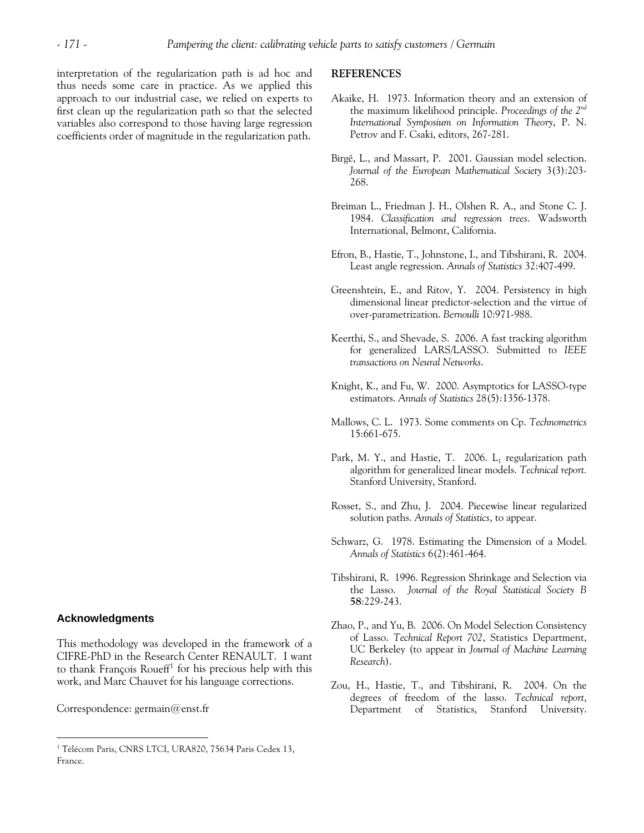interpretation of the regularization path is ad hoc and thus needs some care in practice. As we applied this approach to our industrial case, we relied on experts to first clean up the regularization path so that the selected variables also correspond to those having large regression coefficients order of magnitude in the regularization path.

#### **REFERENCES**

- Akaike, H. 1973. Information theory and an extension of the maximum likelihood principle. *Proceedings of the 2nd International Symposium on Information Theory*, P. N. Petrov and F. Csaki, editors, 267-281.
- Birgé, L., and Massart, P. 2001. Gaussian model selection. *Journal of the European Mathematical Society* 3(3):203- 268.
- Breiman L., Friedman J. H., Olshen R. A., and Stone C. J. 1984. *Classification and regression trees*. Wadsworth International, Belmont, California.
- Efron, B., Hastie, T., Johnstone, I., and Tibshirani, R. 2004. Least angle regression. *Annals of Statistics* 32:407-499.
- Greenshtein, E., and Ritov, Y. 2004. Persistency in high dimensional linear predictor-selection and the virtue of over-parametrization. *Bernoulli* 10:971-988.
- Keerthi, S., and Shevade, S. 2006. A fast tracking algorithm for generalized LARS/LASSO. Submitted to *IEEE transactions on Neural Networks*.
- Knight, K., and Fu, W. 2000. Asymptotics for LASSO-type estimators. *Annals of Statistics* 28(5):1356-1378.
- Mallows, C. L. 1973. Some comments on Cp. *Technometrics*  15:661-675.
- Park, M. Y., and Hastie, T. 2006.  $L_1$  regularization path algorithm for generalized linear models. *Technical report.*  Stanford University, Stanford.
- Rosset, S., and Zhu, J. 2004. Piecewise linear regularized solution paths. *Annals of Statistics*, to appear.
- Schwarz, G. 1978. Estimating the Dimension of a Model. *Annals of Statistics* 6(2):461-464.
- Tibshirani, R. 1996. Regression Shrinkage and Selection via the Lasso. *Journal of the Royal Statistical Society B*  **58**:229-243.
- Zhao, P., and Yu, B. 2006. On Model Selection Consistency of Lasso. *Technical Report 702*, Statistics Department, UC Berkeley (to appear in *Journal of Machine Learning Research*).
- Zou, H., Hastie, T., and Tibshirani, R. 2004. On the degrees of freedom of the lasso. *Technical report*, Department of Statistics, Stanford University.

# **Acknowledgments**

 $\overline{a}$ 

This methodology was developed in the framework of a CIFRE-PhD in the Research Center RENAULT. I want to thank François Roueff<sup>[1](#page-7-0)</sup> for his precious help with this work, and Marc Chauvet for his language corrections.

Correspondence: [germain@enst.fr](mailto:germain@enst.fr) 

<span id="page-7-0"></span><sup>&</sup>lt;sup>1</sup> Télécom Paris, CNRS LTCI, URA820, 75634 Paris Cedex 13, France.